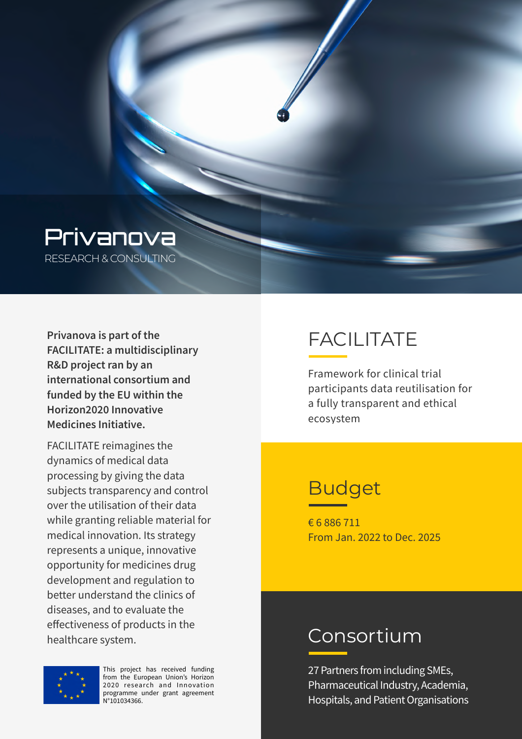

RESEARCH & CONSULTING

**Privanova is part of the FACILITATE: a multidisciplinary R&D project ran by an international consortium and funded by the EU within the Horizon2020 Innovative Medicines Initiative.** 

FACILITATE reimagines the dynamics of medical data processing by giving the data subjects transparency and control over the utilisation of their data while granting reliable material for medical innovation. Its strategy represents a unique, innovative opportunity for medicines drug development and regulation to better understand the clinics of diseases, and to evaluate the effectiveness of products in the healthcare system.

# FACILITATE

Framework for clinical trial participants data reutilisation for a fully transparent and ethical ecosystem

### Budget

€ 6 886 711 From Jan. 2022 to Dec. 2025

#### Consortium

27 Partners from including SMEs, Pharmaceutical Industry, Academia, Hospitals, and Patient Organisations



This project has received funding from the European Union's Horizon 2020 research and Innovation programme under grant agreement N°101034366.